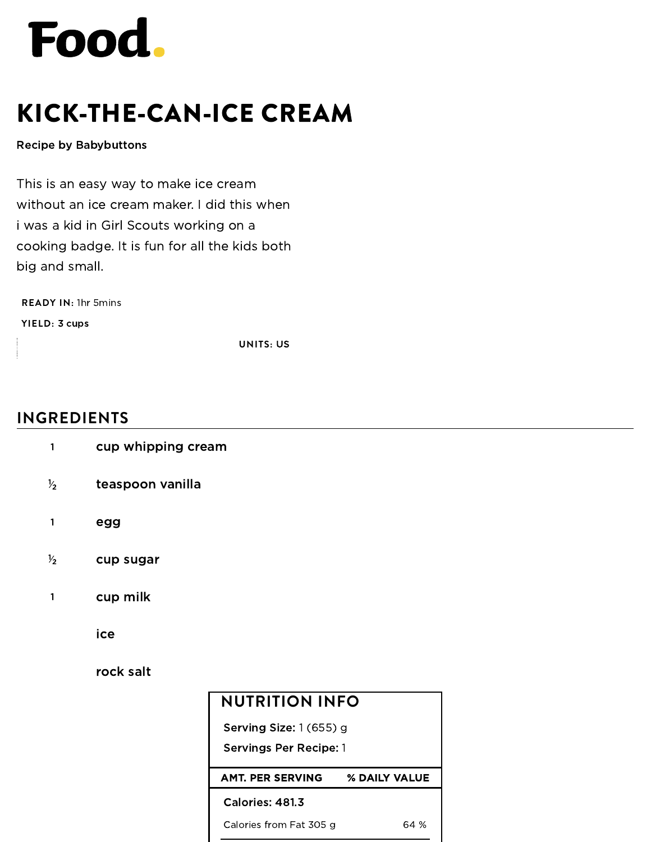

## KICK-THE-CAN-ICE CREAM

## Recipe by [Babybuttons](https://www.food.com/user/177625)

This is an easy way to make ice cream without an ice cream maker. I did this when i was a kid in Girl Scouts working on a cooking badge. It is fun for all the kids both big and small.

**READY IN:** 1hr 5mins

**YIELD:** 3 cups

**UNITS:** US

## **INGREDIENTS**

| $\mathbf{1}$  | cup whipping cream |                               |               |  |  |
|---------------|--------------------|-------------------------------|---------------|--|--|
| $\frac{1}{2}$ | teaspoon vanilla   |                               |               |  |  |
| 1             | egg                |                               |               |  |  |
| $\frac{1}{2}$ | cup sugar          |                               |               |  |  |
| 1             | cup milk           |                               |               |  |  |
|               | ice                |                               |               |  |  |
|               | rock salt          |                               |               |  |  |
|               |                    | <b>NUTRITION INFO</b>         |               |  |  |
|               |                    | Serving Size: 1 (655) g       |               |  |  |
|               |                    | <b>Servings Per Recipe: 1</b> |               |  |  |
|               |                    | <b>AMT. PER SERVING</b>       | % DAILY VALUE |  |  |
|               |                    | Calories: 481.3               |               |  |  |
|               |                    | Calories from Fat 305 g       | 64 %          |  |  |